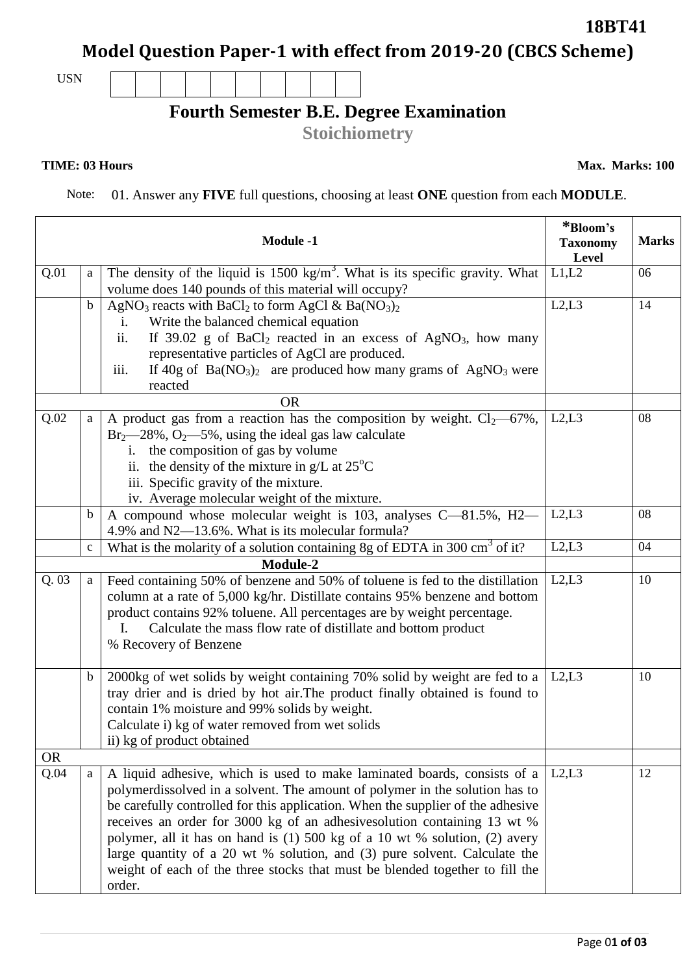## **Model Question Paper-1 with effect from 2019-20 (CBCS Scheme)**

## USN

## **Fourth Semester B.E. Degree Examination**

**Stoichiometry**

Note: 01. Answer any **FIVE** full questions, choosing at least **ONE** question from each **MODULE**.

|           |             | <b>Module -1</b>                                                                                                                                                                                                                                                                                                                                                                                                                                                                                                                                                            | *Bloom's<br><b>Taxonomy</b><br>Level | <b>Marks</b> |
|-----------|-------------|-----------------------------------------------------------------------------------------------------------------------------------------------------------------------------------------------------------------------------------------------------------------------------------------------------------------------------------------------------------------------------------------------------------------------------------------------------------------------------------------------------------------------------------------------------------------------------|--------------------------------------|--------------|
| Q.01      | a           | The density of the liquid is 1500 kg/ $\overline{m^3}$ . What is its specific gravity. What<br>volume does 140 pounds of this material will occupy?                                                                                                                                                                                                                                                                                                                                                                                                                         | L1,L2                                | 06           |
|           | b           | AgNO <sub>3</sub> reacts with BaCl <sub>2</sub> to form AgCl & Ba( $NO3)2$<br>Write the balanced chemical equation<br>$\mathbf{i}$ .<br>If $39.02$ g of BaCl <sub>2</sub> reacted in an excess of AgNO <sub>3</sub> , how many<br>ii.<br>representative particles of AgCl are produced.<br>If $40g$ of $Ba(NO_3)_2$ are produced how many grams of AgNO <sub>3</sub> were<br>iii.<br>reacted                                                                                                                                                                                | L2, L3                               | 14           |
| Q.02      | a           | <b>OR</b><br>A product gas from a reaction has the composition by weight. $Cl_2$ —67%,<br>$Br_2$ —28%, O <sub>2</sub> —5%, using the ideal gas law calculate<br>the composition of gas by volume<br>i.<br>ii. the density of the mixture in $g/L$ at 25 <sup>o</sup> C<br>iii. Specific gravity of the mixture.<br>iv. Average molecular weight of the mixture.                                                                                                                                                                                                             | L2, L3                               | 08           |
|           | b           | A compound whose molecular weight is 103, analyses C-81.5%, H2-<br>4.9% and N2—13.6%. What is its molecular formula?                                                                                                                                                                                                                                                                                                                                                                                                                                                        | L2, L3                               | 08           |
|           | $\mathbf c$ | What is the molarity of a solution containing 8g of EDTA in 300 cm <sup>3</sup> of it?<br>Module-2                                                                                                                                                                                                                                                                                                                                                                                                                                                                          | L2, L3                               | 04           |
| Q.03      | a           | Feed containing 50% of benzene and 50% of toluene is fed to the distillation<br>column at a rate of 5,000 kg/hr. Distillate contains 95% benzene and bottom<br>product contains 92% toluene. All percentages are by weight percentage.<br>Calculate the mass flow rate of distillate and bottom product<br>$\mathbf{I}$ .<br>% Recovery of Benzene                                                                                                                                                                                                                          | L2, L3                               | 10           |
|           | b           | 2000kg of wet solids by weight containing 70% solid by weight are fed to a<br>tray drier and is dried by hot air. The product finally obtained is found to<br>contain 1% moisture and 99% solids by weight.<br>Calculate i) kg of water removed from wet solids<br>ii) kg of product obtained                                                                                                                                                                                                                                                                               | L2,L3                                | 10           |
| <b>OR</b> |             |                                                                                                                                                                                                                                                                                                                                                                                                                                                                                                                                                                             |                                      |              |
| Q.04      | a           | A liquid adhesive, which is used to make laminated boards, consists of a<br>polymerdissolved in a solvent. The amount of polymer in the solution has to<br>be carefully controlled for this application. When the supplier of the adhesive<br>receives an order for 3000 kg of an adhesives olution containing 13 wt %<br>polymer, all it has on hand is (1) 500 kg of a 10 wt % solution, (2) avery<br>large quantity of a 20 wt % solution, and (3) pure solvent. Calculate the<br>weight of each of the three stocks that must be blended together to fill the<br>order. | L2,L3                                | 12           |

**TIME: 03 Hours** Max. Marks: 100

**18BT41**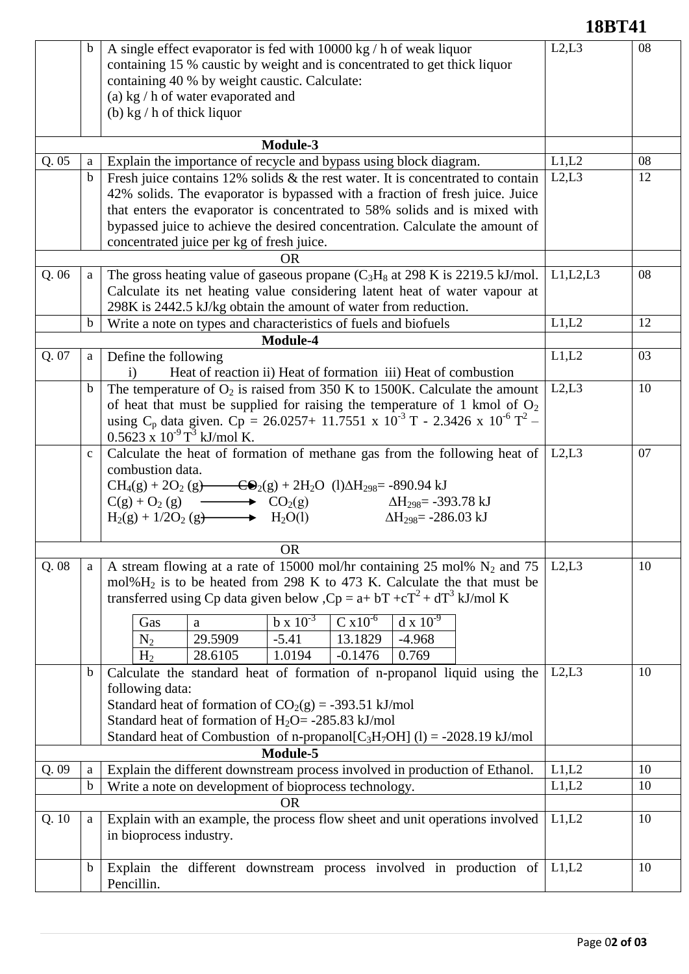|       |              |                                                                                                                                                                                                                                                                                                                                                                                                                                     | 18BT41   |    |
|-------|--------------|-------------------------------------------------------------------------------------------------------------------------------------------------------------------------------------------------------------------------------------------------------------------------------------------------------------------------------------------------------------------------------------------------------------------------------------|----------|----|
|       | b            | A single effect evaporator is fed with 10000 kg / h of weak liquor<br>containing 15 % caustic by weight and is concentrated to get thick liquor<br>containing 40 % by weight caustic. Calculate:<br>(a) kg / h of water evaporated and<br>(b) $\text{kg}/\text{h}$ of thick liquor                                                                                                                                                  | L2, L3   | 08 |
|       |              | Module-3                                                                                                                                                                                                                                                                                                                                                                                                                            |          |    |
| Q.05  | a            | Explain the importance of recycle and bypass using block diagram.                                                                                                                                                                                                                                                                                                                                                                   | L1,L2    | 08 |
|       | $\mathbf b$  | Fresh juice contains $12\%$ solids & the rest water. It is concentrated to contain<br>42% solids. The evaporator is bypassed with a fraction of fresh juice. Juice<br>that enters the evaporator is concentrated to 58% solids and is mixed with<br>bypassed juice to achieve the desired concentration. Calculate the amount of<br>concentrated juice per kg of fresh juice.                                                       | L2, L3   | 12 |
|       |              | <b>OR</b>                                                                                                                                                                                                                                                                                                                                                                                                                           |          |    |
| Q.06  | a            | The gross heating value of gaseous propane $(C_3H_8$ at 298 K is 2219.5 kJ/mol.<br>Calculate its net heating value considering latent heat of water vapour at<br>298K is 2442.5 kJ/kg obtain the amount of water from reduction.                                                                                                                                                                                                    | L1,L2,L3 | 08 |
|       | $\mathbf b$  | Write a note on types and characteristics of fuels and biofuels                                                                                                                                                                                                                                                                                                                                                                     | L1,L2    | 12 |
|       |              | Module-4                                                                                                                                                                                                                                                                                                                                                                                                                            |          |    |
| Q. 07 | a            | Define the following                                                                                                                                                                                                                                                                                                                                                                                                                | L1,L2    | 03 |
|       |              | Heat of reaction ii) Heat of formation iii) Heat of combustion<br>$\mathbf{i}$                                                                                                                                                                                                                                                                                                                                                      |          |    |
|       | $\mathbf b$  | The temperature of $O_2$ is raised from 350 K to 1500K. Calculate the amount<br>of heat that must be supplied for raising the temperature of 1 kmol of $O_2$ using $C_p$ data given. $C_p = 26.0257 + 11.7551 \times 10^{-3}$ T - 2.3426 x $10^{-6}$ T <sup>2</sup> -<br>$0.5623 \times 10^{-9}$ T <sup>3</sup> kJ/mol K.                                                                                                           | L2, L3   | 10 |
|       | $\mathbf{C}$ | Calculate the heat of formation of methane gas from the following heat of<br>combustion data.<br>$CH_4(g) + 2O_2(g)$ $ CO_2(g) + 2H_2O$ (1) $\Delta H_{298}$ = -890.94 kJ<br>$C(g) + O_2(g)$ $\longrightarrow$ $CO_2(g)$ $\Delta H_{298} = -393.78 \text{ kJ}$<br>$H_2(g) + 1/2O_2(g)$ $H_2O(1)$<br>$\Delta H_{298} = -286.03 \text{ kJ}$                                                                                           | L2,L3    | 07 |
|       |              | <b>OR</b>                                                                                                                                                                                                                                                                                                                                                                                                                           |          |    |
| Q.08  | a            | A stream flowing at a rate of 15000 mol/hr containing 25 mol% $N_2$ and 75<br>mol% $H_2$ is to be heated from 298 K to 473 K. Calculate the that must be<br>transferred using Cp data given below , $Cp = a + bT + cT^2 + dT^3$ kJ/mol K<br>$b \times 10^{-3}$<br>$C \times 10^{-6}$<br>$dx 10^{-9}$<br>Gas<br>a<br>29.5909<br>$-5.41$<br>13.1829<br>$N_2$<br>$-4.968$<br>28.6105<br>$-0.1476$<br>0.769<br>H <sub>2</sub><br>1.0194 | L2, L3   | 10 |
|       | $\mathbf b$  | Calculate the standard heat of formation of n-propanol liquid using the<br>following data:<br>Standard heat of formation of $CO2(g) = -393.51 \text{ kJ/mol}$<br>Standard heat of formation of $H_2O = -285.83$ kJ/mol<br>Standard heat of Combustion of n-propanol $[C_3H_7OH]$ (1) = -2028.19 kJ/mol                                                                                                                              | L2, L3   | 10 |
|       |              | Module-5                                                                                                                                                                                                                                                                                                                                                                                                                            |          |    |
| Q.09  | a            | Explain the different downstream process involved in production of Ethanol.                                                                                                                                                                                                                                                                                                                                                         | L1,L2    | 10 |
|       | $\mathbf b$  | Write a note on development of bioprocess technology.                                                                                                                                                                                                                                                                                                                                                                               | L1,L2    | 10 |
| Q. 10 | a            | <b>OR</b><br>Explain with an example, the process flow sheet and unit operations involved<br>in bioprocess industry.                                                                                                                                                                                                                                                                                                                | L1,L2    | 10 |
|       | $\mathbf b$  | Explain the different downstream process involved in production of<br>Pencillin.                                                                                                                                                                                                                                                                                                                                                    | L1,L2    | 10 |